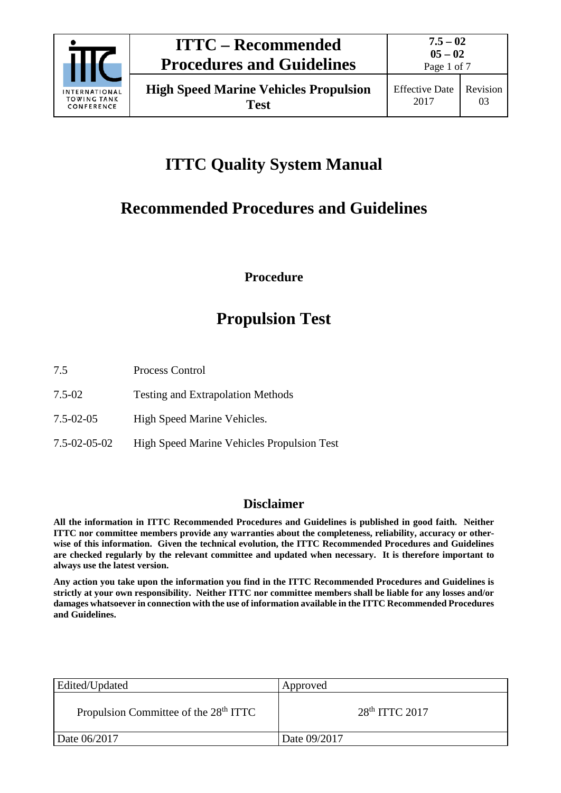

**Test**

Page 1 of 7

# **ITTC Quality System Manual**

# **Recommended Procedures and Guidelines**

# **Procedure**

# **Propulsion Test**

- 7.5-02 Testing and Extrapolation Methods
- 7.5-02-05 High Speed Marine Vehicles.
- 7.5-02-05-02 High Speed Marine Vehicles Propulsion Test

# **Disclaimer**

**All the information in ITTC Recommended Procedures and Guidelines is published in good faith. Neither ITTC nor committee members provide any warranties about the completeness, reliability, accuracy or otherwise of this information. Given the technical evolution, the ITTC Recommended Procedures and Guidelines are checked regularly by the relevant committee and updated when necessary. It is therefore important to always use the latest version.**

**Any action you take upon the information you find in the ITTC Recommended Procedures and Guidelines is strictly at your own responsibility. Neither ITTC nor committee members shall be liable for any losses and/or damages whatsoever in connection with the use of information available in the ITTC Recommended Procedures and Guidelines.**

| Edited/Updated                                    | Approved         |
|---------------------------------------------------|------------------|
| Propulsion Committee of the 28 <sup>th</sup> ITTC | $28th$ ITTC 2017 |
| Date 06/2017                                      | Date 09/2017     |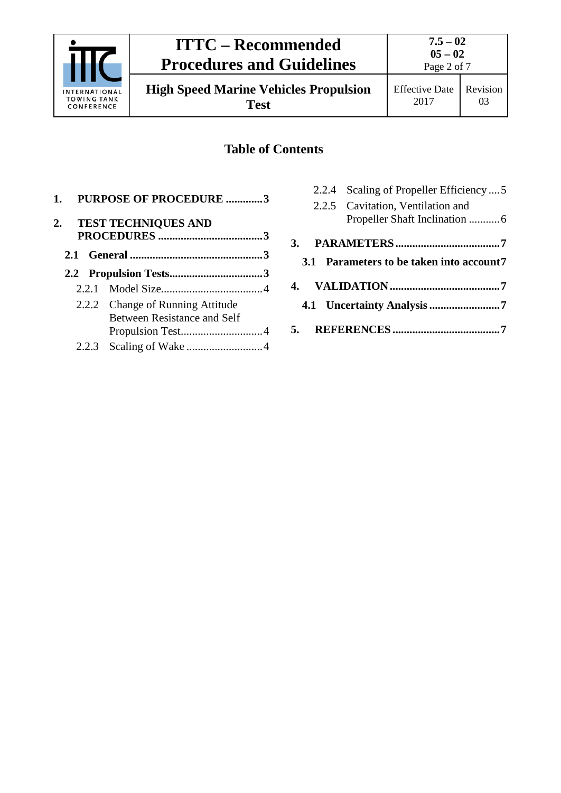

**High Speed Marine Vehicles Propulsion Test**

# **Table of Contents**

| 1. PURPOSE OF PROCEDURE 3                                              |  |
|------------------------------------------------------------------------|--|
| 2. TEST TECHNIQUES AND                                                 |  |
|                                                                        |  |
|                                                                        |  |
|                                                                        |  |
|                                                                        |  |
| 2.2.2 Change of Running Attitude<br><b>Between Resistance and Self</b> |  |
|                                                                        |  |

| 2.2.4 Scaling of Propeller Efficiency  5 |  |
|------------------------------------------|--|
| 2.2.5 Cavitation, Ventilation and        |  |
|                                          |  |
|                                          |  |
| 3.1 Parameters to be taken into account7 |  |
|                                          |  |
|                                          |  |
|                                          |  |
|                                          |  |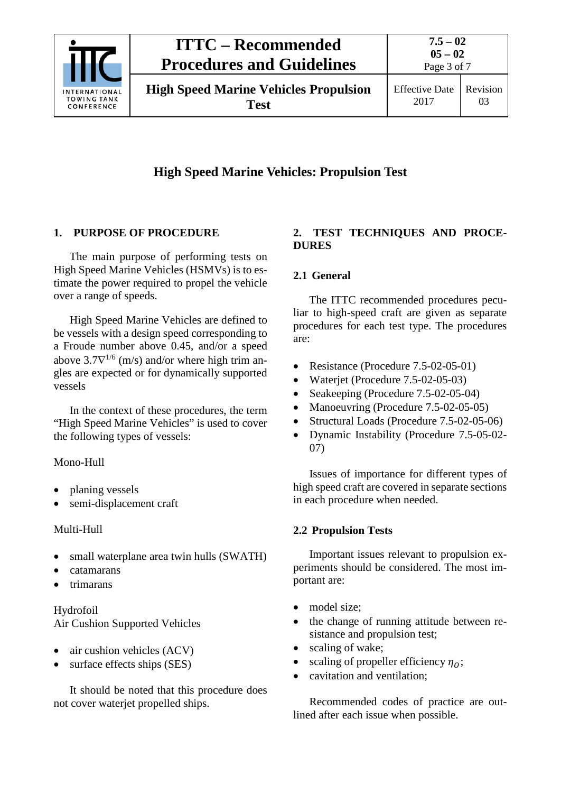

# **ITTC – Recommended Procedures and Guidelines**

**High Speed Marine Vehicles Propulsion Test**

# **High Speed Marine Vehicles: Propulsion Test**

### <span id="page-2-0"></span>**1. PURPOSE OF PROCEDURE**

The main purpose of performing tests on High Speed Marine Vehicles (HSMVs) is to estimate the power required to propel the vehicle over a range of speeds.

High Speed Marine Vehicles are defined to be vessels with a design speed corresponding to a Froude number above 0.45, and/or a speed above  $3.7\nabla^{1/6}$  (m/s) and/or where high trim angles are expected or for dynamically supported vessels

In the context of these procedures, the term "High Speed Marine Vehicles" is used to cover the following types of vessels:

Mono-Hull

- planing vessels
- semi-displacement craft

### Multi-Hull

- small waterplane area twin hulls (SWATH)
- catamarans
- trimarans

# Hydrofoil Air Cushion Supported Vehicles

- air cushion vehicles (ACV)
- surface effects ships (SES)

It should be noted that this procedure does not cover waterjet propelled ships.

### <span id="page-2-1"></span>**2. TEST TECHNIQUES AND PROCE-DURES**

# <span id="page-2-2"></span>**2.1 General**

The ITTC recommended procedures peculiar to high-speed craft are given as separate procedures for each test type. The procedures are:

- Resistance (Procedure 7.5-02-05-01)
- Waterjet (Procedure 7.5-02-05-03)
- Seakeeping (Procedure 7.5-02-05-04)
- Manoeuvring (Procedure 7.5-02-05-05)
- Structural Loads (Procedure 7.5-02-05-06)
- Dynamic Instability (Procedure 7.5-05-02- 07)

Issues of importance for different types of high speed craft are covered in separate sections in each procedure when needed.

# <span id="page-2-3"></span>**2.2 Propulsion Tests**

Important issues relevant to propulsion experiments should be considered. The most important are:

- model size;
- the change of running attitude between resistance and propulsion test;
- scaling of wake;
- scaling of propeller efficiency  $\eta_0$ ;
- cavitation and ventilation:

Recommended codes of practice are outlined after each issue when possible.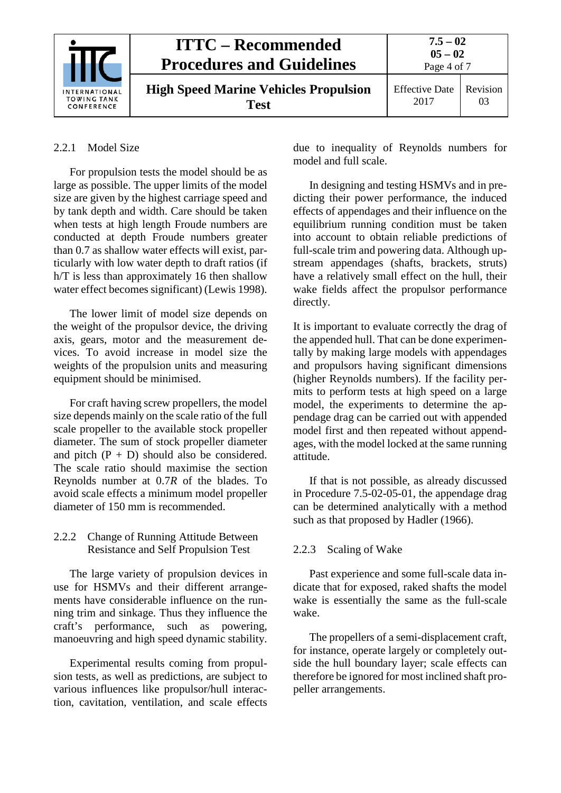| <b>INTERNATIONAL</b><br><b>TOWING TANK</b><br>CONFERENCE | <b>ITTC – Recommended</b><br><b>Procedures and Guidelines</b> | $7.5 - 02$<br>$05 - 02$<br>Page 4 of 7 |                |
|----------------------------------------------------------|---------------------------------------------------------------|----------------------------------------|----------------|
|                                                          | <b>High Speed Marine Vehicles Propulsion</b><br>Test          | <b>Effective Date</b><br>2017          | Revision<br>03 |

### <span id="page-3-0"></span>2.2.1 Model Size

For propulsion tests the model should be as large as possible. The upper limits of the model size are given by the highest carriage speed and by tank depth and width. Care should be taken when tests at high length Froude numbers are conducted at depth Froude numbers greater than 0.7 as shallow water effects will exist, particularly with low water depth to draft ratios (if h/T is less than approximately 16 then shallow water effect becomes significant) (Lewis 1998).

The lower limit of model size depends on the weight of the propulsor device, the driving axis, gears, motor and the measurement devices. To avoid increase in model size the weights of the propulsion units and measuring equipment should be minimised.

For craft having screw propellers, the model size depends mainly on the scale ratio of the full scale propeller to the available stock propeller diameter. The sum of stock propeller diameter and pitch  $(P + D)$  should also be considered. The scale ratio should maximise the section Reynolds number at 0.7*R* of the blades. To avoid scale effects a minimum model propeller diameter of 150 mm is recommended.

### <span id="page-3-1"></span>2.2.2 Change of Running Attitude Between Resistance and Self Propulsion Test

The large variety of propulsion devices in use for HSMVs and their different arrangements have considerable influence on the running trim and sinkage. Thus they influence the craft's performance, such as powering, manoeuvring and high speed dynamic stability.

Experimental results coming from propulsion tests, as well as predictions, are subject to various influences like propulsor/hull interaction, cavitation, ventilation, and scale effects due to inequality of Reynolds numbers for model and full scale.

In designing and testing HSMVs and in predicting their power performance, the induced effects of appendages and their influence on the equilibrium running condition must be taken into account to obtain reliable predictions of full-scale trim and powering data. Although upstream appendages (shafts, brackets, struts) have a relatively small effect on the hull, their wake fields affect the propulsor performance directly.

It is important to evaluate correctly the drag of the appended hull. That can be done experimentally by making large models with appendages and propulsors having significant dimensions (higher Reynolds numbers). If the facility permits to perform tests at high speed on a large model, the experiments to determine the appendage drag can be carried out with appended model first and then repeated without appendages, with the model locked at the same running attitude.

If that is not possible, as already discussed in Procedure 7.5-02-05-01, the appendage drag can be determined analytically with a method such as that proposed by Hadler (1966).

### <span id="page-3-2"></span>2.2.3 Scaling of Wake

Past experience and some full-scale data indicate that for exposed, raked shafts the model wake is essentially the same as the full-scale wake.

The propellers of a semi-displacement craft, for instance, operate largely or completely outside the hull boundary layer; scale effects can therefore be ignored for most inclined shaft propeller arrangements.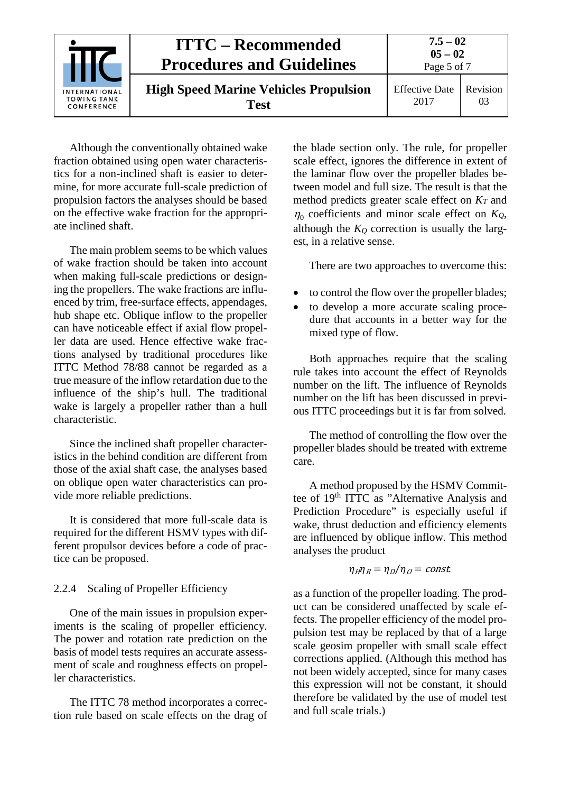

Although the conventionally obtained wake fraction obtained using open water characteristics for a non-inclined shaft is easier to determine, for more accurate full-scale prediction of propulsion factors the analyses should be based on the effective wake fraction for the appropriate inclined shaft.

The main problem seems to be which values of wake fraction should be taken into account when making full-scale predictions or designing the propellers. The wake fractions are influenced by trim, free-surface effects, appendages, hub shape etc. Oblique inflow to the propeller can have noticeable effect if axial flow propeller data are used. Hence effective wake fractions analysed by traditional procedures like ITTC Method 78/88 cannot be regarded as a true measure of the inflow retardation due to the influence of the ship's hull. The traditional wake is largely a propeller rather than a hull characteristic.

Since the inclined shaft propeller characteristics in the behind condition are different from those of the axial shaft case, the analyses based on oblique open water characteristics can provide more reliable predictions.

It is considered that more full-scale data is required for the different HSMV types with different propulsor devices before a code of practice can be proposed.

# <span id="page-4-0"></span>2.2.4 Scaling of Propeller Efficiency

One of the main issues in propulsion experiments is the scaling of propeller efficiency. The power and rotation rate prediction on the basis of model tests requires an accurate assessment of scale and roughness effects on propeller characteristics.

The ITTC 78 method incorporates a correction rule based on scale effects on the drag of the blade section only. The rule, for propeller scale effect, ignores the difference in extent of the laminar flow over the propeller blades between model and full size. The result is that the method predicts greater scale effect on  $K_T$  and  $\eta_0$  coefficients and minor scale effect on  $K_Q$ , although the  $K_Q$  correction is usually the largest, in a relative sense.

There are two approaches to overcome this:

- to control the flow over the propeller blades;
- to develop a more accurate scaling procedure that accounts in a better way for the mixed type of flow.

Both approaches require that the scaling rule takes into account the effect of Reynolds number on the lift. The influence of Reynolds number on the lift has been discussed in previous ITTC proceedings but it is far from solved.

The method of controlling the flow over the propeller blades should be treated with extreme care.

A method proposed by the HSMV Committee of 19<sup>th</sup> ITTC as "Alternative Analysis and Prediction Procedure" is especially useful if wake, thrust deduction and efficiency elements are influenced by oblique inflow. This method analyses the product

$$
\eta_H \eta_R = \eta_D / \eta_O = const.
$$

as a function of the propeller loading. The product can be considered unaffected by scale effects. The propeller efficiency of the model propulsion test may be replaced by that of a large scale geosim propeller with small scale effect corrections applied. (Although this method has not been widely accepted, since for many cases this expression will not be constant, it should therefore be validated by the use of model test and full scale trials.)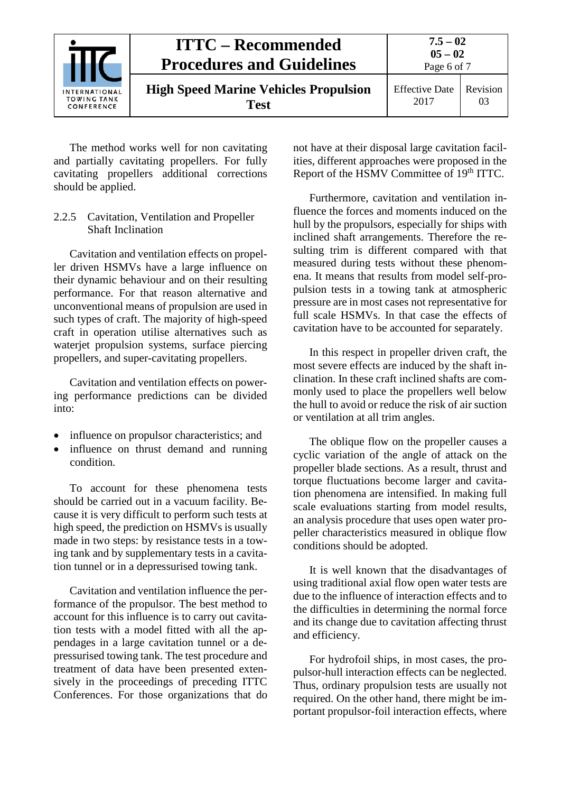

The method works well for non cavitating and partially cavitating propellers. For fully cavitating propellers additional corrections should be applied.

#### <span id="page-5-0"></span>2.2.5 Cavitation, Ventilation and Propeller Shaft Inclination

Cavitation and ventilation effects on propeller driven HSMVs have a large influence on their dynamic behaviour and on their resulting performance. For that reason alternative and unconventional means of propulsion are used in such types of craft. The majority of high-speed craft in operation utilise alternatives such as waterjet propulsion systems, surface piercing propellers, and super-cavitating propellers.

Cavitation and ventilation effects on powering performance predictions can be divided into:

- influence on propulsor characteristics; and
- influence on thrust demand and running condition.

To account for these phenomena tests should be carried out in a vacuum facility. Because it is very difficult to perform such tests at high speed, the prediction on HSMVs is usually made in two steps: by resistance tests in a towing tank and by supplementary tests in a cavitation tunnel or in a depressurised towing tank.

Cavitation and ventilation influence the performance of the propulsor. The best method to account for this influence is to carry out cavitation tests with a model fitted with all the appendages in a large cavitation tunnel or a depressurised towing tank. The test procedure and treatment of data have been presented extensively in the proceedings of preceding ITTC Conferences. For those organizations that do not have at their disposal large cavitation facilities, different approaches were proposed in the Report of the HSMV Committee of 19<sup>th</sup> ITTC.

Furthermore, cavitation and ventilation influence the forces and moments induced on the hull by the propulsors, especially for ships with inclined shaft arrangements. Therefore the resulting trim is different compared with that measured during tests without these phenomena. It means that results from model self-propulsion tests in a towing tank at atmospheric pressure are in most cases not representative for full scale HSMVs. In that case the effects of cavitation have to be accounted for separately.

In this respect in propeller driven craft, the most severe effects are induced by the shaft inclination. In these craft inclined shafts are commonly used to place the propellers well below the hull to avoid or reduce the risk of air suction or ventilation at all trim angles.

The oblique flow on the propeller causes a cyclic variation of the angle of attack on the propeller blade sections. As a result, thrust and torque fluctuations become larger and cavitation phenomena are intensified. In making full scale evaluations starting from model results, an analysis procedure that uses open water propeller characteristics measured in oblique flow conditions should be adopted.

It is well known that the disadvantages of using traditional axial flow open water tests are due to the influence of interaction effects and to the difficulties in determining the normal force and its change due to cavitation affecting thrust and efficiency.

For hydrofoil ships, in most cases, the propulsor-hull interaction effects can be neglected. Thus, ordinary propulsion tests are usually not required. On the other hand, there might be important propulsor-foil interaction effects, where